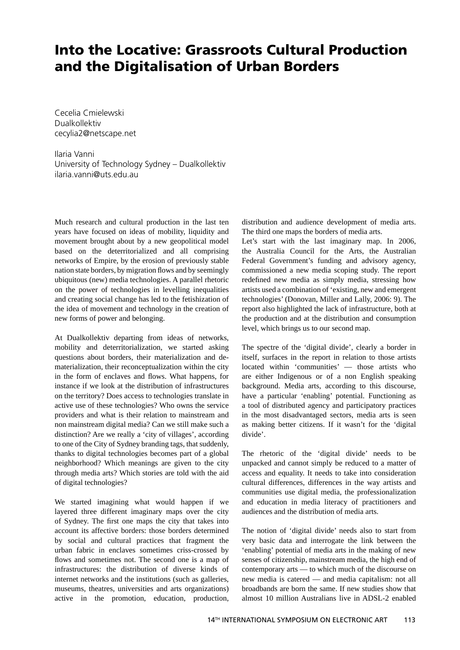## **Into the Locative: Grassroots Cultural Production and the Digitalisation of Urban Borders**

Cecelia Cmielewski Dualkollektiv cecylia2@netscape.net

Ilaria Vanni University of Technology Sydney – Dualkollektiv ilaria.vanni@uts.edu.au

Much research and cultural production in the last ten years have focused on ideas of mobility, liquidity and movement brought about by a new geopolitical model based on the deterritorialized and all comprising networks of Empire, by the erosion of previously stable nation state borders, by migration flows and by seemingly ubiquitous (new) media technologies. A parallel rhetoric on the power of technologies in levelling inequalities and creating social change has led to the fetishization of the idea of movement and technology in the creation of new forms of power and belonging.

At Dualkollektiv departing from ideas of networks, mobility and deterritorialization, we started asking questions about borders, their materialization and dematerialization, their reconceptualization within the city in the form of enclaves and flows. What happens, for instance if we look at the distribution of infrastructures on the territory? Does access to technologies translate in active use of these technologies? Who owns the service providers and what is their relation to mainstream and non mainstream digital media? Can we still make such a distinction? Are we really a 'city of villages', according to one of the City of Sydney branding tags, that suddenly, thanks to digital technologies becomes part of a global neighborhood? Which meanings are given to the city through media arts? Which stories are told with the aid of digital technologies?

We started imagining what would happen if we layered three different imaginary maps over the city of Sydney. The first one maps the city that takes into account its affective borders: those borders determined by social and cultural practices that fragment the urban fabric in enclaves sometimes criss-crossed by flows and sometimes not. The second one is a map of infrastructures: the distribution of diverse kinds of internet networks and the institutions (such as galleries, museums, theatres, universities and arts organizations) active in the promotion, education, production, distribution and audience development of media arts. The third one maps the borders of media arts.

Let's start with the last imaginary map. In 2006, the Australia Council for the Arts, the Australian Federal Government's funding and advisory agency, commissioned a new media scoping study. The report redefined new media as simply media, stressing how artists used a combination of 'existing, new and emergent technologies' (Donovan, Miller and Lally, 2006: 9). The report also highlighted the lack of infrastructure, both at the production and at the distribution and consumption level, which brings us to our second map.

The spectre of the 'digital divide', clearly a border in itself, surfaces in the report in relation to those artists located within 'communities' — those artists who are either Indigenous or of a non English speaking background. Media arts, according to this discourse, have a particular 'enabling' potential. Functioning as a tool of distributed agency and participatory practices in the most disadvantaged sectors, media arts is seen as making better citizens. If it wasn't for the 'digital divide'.

The rhetoric of the 'digital divide' needs to be unpacked and cannot simply be reduced to a matter of access and equality. It needs to take into consideration cultural differences, differences in the way artists and communities use digital media, the professionalization and education in media literacy of practitioners and audiences and the distribution of media arts.

The notion of 'digital divide' needs also to start from very basic data and interrogate the link between the 'enabling' potential of media arts in the making of new senses of citizenship, mainstream media, the high end of contemporary arts — to which much of the discourse on new media is catered — and media capitalism: not all broadbands are born the same. If new studies show that almost 10 million Australians live in ADSL-2 enabled